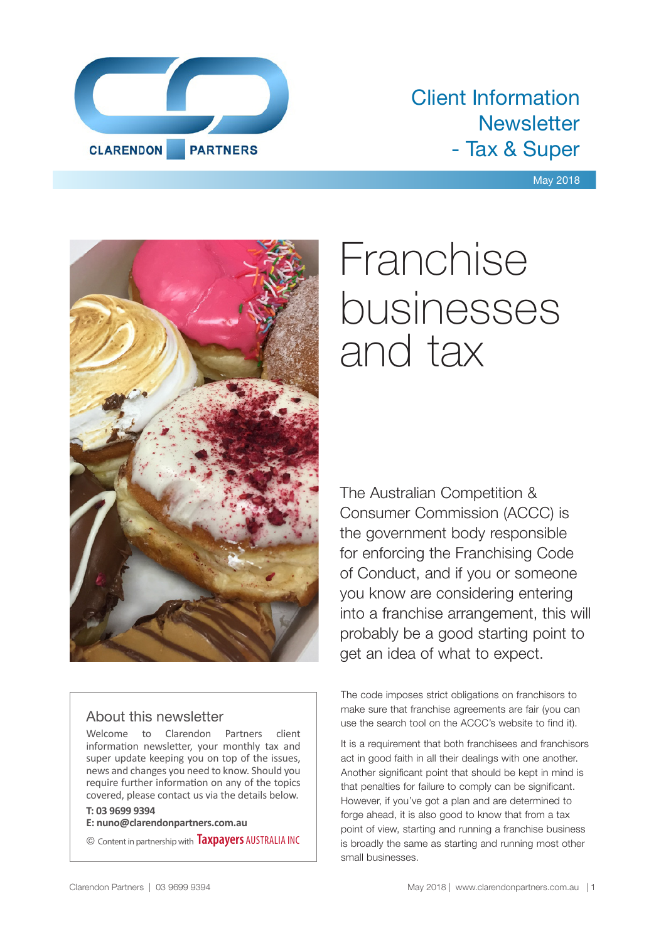

# Client Information **Newsletter** - Tax & Super

#### May 2018



#### About this newsletter

Welcome to Clarendon Partners client information newsletter, your monthly tax and super update keeping you on top of the issues, news and changes you need to know. Should you require further information on any of the topics covered, please contact us via the details below.

#### **T: 03 9699 9394**

**E: nuno@clarendonpartners.com.au**

© Content in partnership with **Taxpayers** AUSTRALIA INC

# Franchise businesses and tax

The Australian Competition & Consumer Commission (ACCC) is the government body responsible for enforcing the Franchising Code of Conduct, and if you or someone you know are considering entering into a franchise arrangement, this will probably be a good starting point to get an idea of what to expect.

The code imposes strict obligations on franchisors to make sure that franchise agreements are fair (you can use the search tool on the ACCC's website to find it).

It is a requirement that both franchisees and franchisors act in good faith in all their dealings with one another. Another significant point that should be kept in mind is that penalties for failure to comply can be significant. However, if you've got a plan and are determined to forge ahead, it is also good to know that from a tax point of view, starting and running a franchise business is broadly the same as starting and running most other small businesses.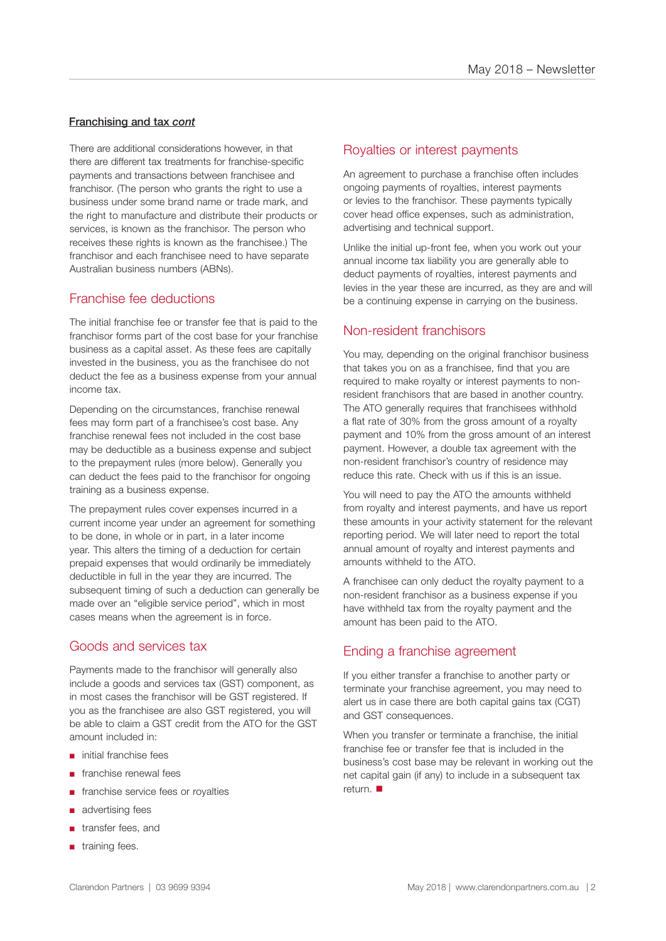#### Franchising and tax *cont*

There are additional considerations however, in that there are different tax treatments for franchise-specific payments and transactions between franchisee and franchisor. (The person who grants the right to use a business under some brand name or trade mark, and the right to manufacture and distribute their products or services, is known as the franchisor. The person who receives these rights is known as the franchisee.) The franchisor and each franchisee need to have separate Australian business numbers (ABNs).

#### Franchise fee deductions

The initial franchise fee or transfer fee that is paid to the franchisor forms part of the cost base for your franchise business as a capital asset. As these fees are capitally invested in the business, you as the franchisee do not deduct the fee as a business expense from your annual income tax.

Depending on the circumstances, franchise renewal fees may form part of a franchisee's cost base. Any franchise renewal fees not included in the cost base may be deductible as a business expense and subject to the prepayment rules (more below). Generally you can deduct the fees paid to the franchisor for ongoing training as a business expense.

The prepayment rules cover expenses incurred in a current income year under an agreement for something to be done, in whole or in part, in a later income year. This alters the timing of a deduction for certain prepaid expenses that would ordinarily be immediately deductible in full in the year they are incurred. The subsequent timing of such a deduction can generally be made over an "eligible service period", which in most cases means when the agreement is in force.

#### Goods and services tax

Payments made to the franchisor will generally also include a goods and services tax (GST) component, as in most cases the franchisor will be GST registered. If you as the franchisee are also GST registered, you will be able to claim a GST credit from the ATO for the GST amount included in:

- initial franchise fees
- franchise renewal fees
- franchise service fees or royalties
- advertising fees
- transfer fees, and
- training fees.

#### Royalties or interest payments

An agreement to purchase a franchise often includes ongoing payments of royalties, interest payments or levies to the franchisor. These payments typically cover head office expenses, such as administration, advertising and technical support.

Unlike the initial up-front fee, when you work out your annual income tax liability you are generally able to deduct payments of royalties, interest payments and levies in the year these are incurred, as they are and will be a continuing expense in carrying on the business.

#### Non-resident franchisors

You may, depending on the original franchisor business that takes you on as a franchisee, find that you are required to make royalty or interest payments to nonresident franchisors that are based in another country. The ATO generally requires that franchisees withhold a flat rate of 30% from the gross amount of a royalty payment and 10% from the gross amount of an interest payment. However, a double tax agreement with the non-resident franchisor's country of residence may reduce this rate. Check with us if this is an issue.

You will need to pay the ATO the amounts withheld from royalty and interest payments, and have us report these amounts in your activity statement for the relevant reporting period. We will later need to report the total annual amount of royalty and interest payments and amounts withheld to the ATO.

A franchisee can only deduct the royalty payment to a non-resident franchisor as a business expense if you have withheld tax from the royalty payment and the amount has been paid to the ATO.

#### Ending a franchise agreement

If you either transfer a franchise to another party or terminate your franchise agreement, you may need to alert us in case there are both capital gains tax (CGT) and GST consequences.

When you transfer or terminate a franchise, the initial franchise fee or transfer fee that is included in the business's cost base may be relevant in working out the net capital gain (if any) to include in a subsequent tax return.  $\blacksquare$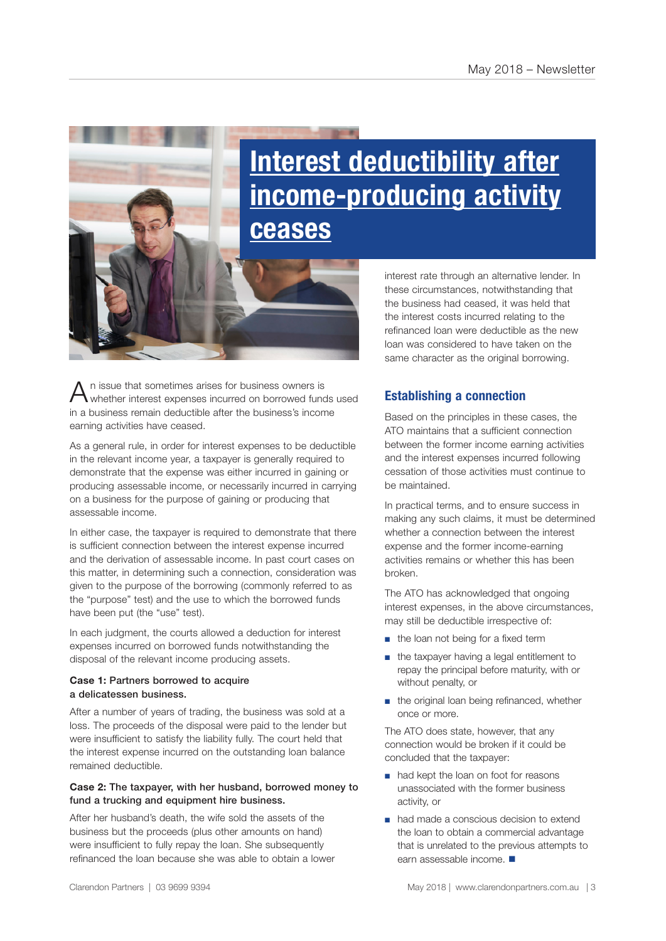# **Interest deductibility after income-producing activity ceases**

 $A$ <sup>n</sup> issue that sometimes arises for business owners is whether interest expenses incurred on borrowed funds used in a business remain deductible after the business's income earning activities have ceased.

As a general rule, in order for interest expenses to be deductible in the relevant income year, a taxpayer is generally required to demonstrate that the expense was either incurred in gaining or producing assessable income, or necessarily incurred in carrying on a business for the purpose of gaining or producing that assessable income.

In either case, the taxpayer is required to demonstrate that there is sufficient connection between the interest expense incurred and the derivation of assessable income. In past court cases on this matter, in determining such a connection, consideration was given to the purpose of the borrowing (commonly referred to as the "purpose" test) and the use to which the borrowed funds have been put (the "use" test).

In each judgment, the courts allowed a deduction for interest expenses incurred on borrowed funds notwithstanding the disposal of the relevant income producing assets.

#### **Case 1:** Partners borrowed to acquire a delicatessen business.

After a number of years of trading, the business was sold at a loss. The proceeds of the disposal were paid to the lender but were insufficient to satisfy the liability fully. The court held that the interest expense incurred on the outstanding loan balance remained deductible.

#### **Case 2:** The taxpayer, with her husband, borrowed money to fund a trucking and equipment hire business.

After her husband's death, the wife sold the assets of the business but the proceeds (plus other amounts on hand) were insufficient to fully repay the loan. She subsequently refinanced the loan because she was able to obtain a lower interest rate through an alternative lender. In these circumstances, notwithstanding that the business had ceased, it was held that the interest costs incurred relating to the refinanced loan were deductible as the new loan was considered to have taken on the same character as the original borrowing.

#### **Establishing a connection**

Based on the principles in these cases, the ATO maintains that a sufficient connection between the former income earning activities and the interest expenses incurred following cessation of those activities must continue to be maintained.

In practical terms, and to ensure success in making any such claims, it must be determined whether a connection between the interest expense and the former income-earning activities remains or whether this has been broken.

The ATO has acknowledged that ongoing interest expenses, in the above circumstances, may still be deductible irrespective of:

- the loan not being for a fixed term
- the taxpayer having a legal entitlement to repay the principal before maturity, with or without penalty, or
- the original loan being refinanced, whether once or more.

The ATO does state, however, that any connection would be broken if it could be concluded that the taxpayer:

- had kept the loan on foot for reasons unassociated with the former business activity, or
- had made a conscious decision to extend the loan to obtain a commercial advantage that is unrelated to the previous attempts to earn assessable income.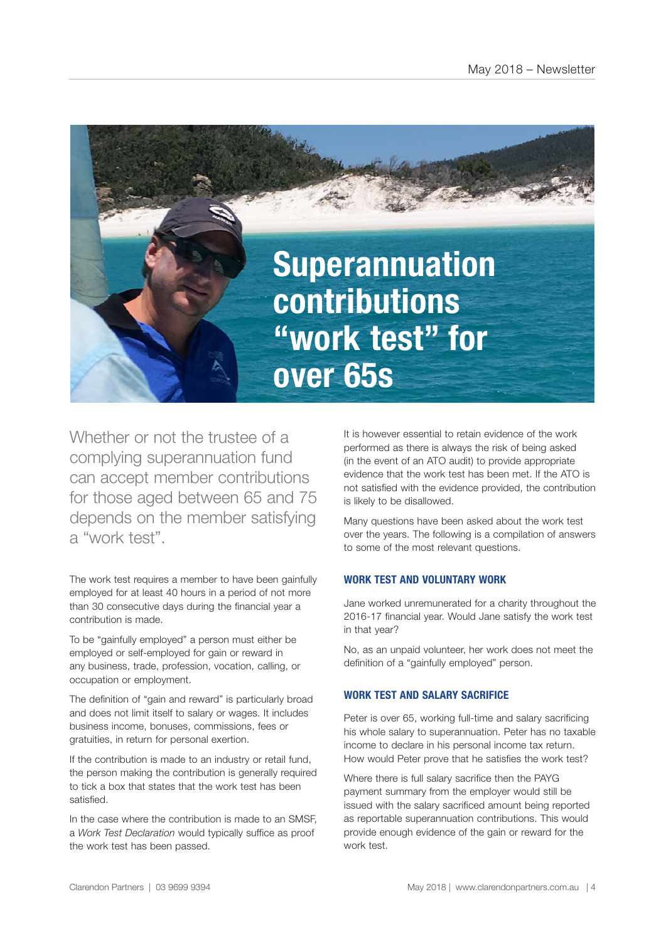

Whether or not the trustee of a complying superannuation fund can accept member contributions for those aged between 65 and 75 depends on the member satisfying a "work test".

The work test requires a member to have been gainfully employed for at least 40 hours in a period of not more than 30 consecutive days during the financial year a contribution is made.

To be "gainfully employed" a person must either be employed or self-employed for gain or reward in any business, trade, profession, vocation, calling, or occupation or employment.

The definition of "gain and reward" is particularly broad and does not limit itself to salary or wages. It includes business income, bonuses, commissions, fees or gratuities, in return for personal exertion.

If the contribution is made to an industry or retail fund, the person making the contribution is generally required to tick a box that states that the work test has been satisfied.

In the case where the contribution is made to an SMSF, a *Work Test Declaration* would typically suffice as proof the work test has been passed.

It is however essential to retain evidence of the work performed as there is always the risk of being asked (in the event of an ATO audit) to provide appropriate evidence that the work test has been met. If the ATO is not satisfied with the evidence provided, the contribution is likely to be disallowed.

Many questions have been asked about the work test over the years. The following is a compilation of answers to some of the most relevant questions.

#### **WORK TEST AND VOLUNTARY WORK**

Jane worked unremunerated for a charity throughout the 2016-17 financial year. Would Jane satisfy the work test in that year?

No, as an unpaid volunteer, her work does not meet the definition of a "gainfully employed" person.

#### **WORK TEST AND SALARY SACRIFICE**

Peter is over 65, working full-time and salary sacrificing his whole salary to superannuation. Peter has no taxable income to declare in his personal income tax return. How would Peter prove that he satisfies the work test?

Where there is full salary sacrifice then the PAYG payment summary from the employer would still be issued with the salary sacrificed amount being reported as reportable superannuation contributions. This would provide enough evidence of the gain or reward for the work test.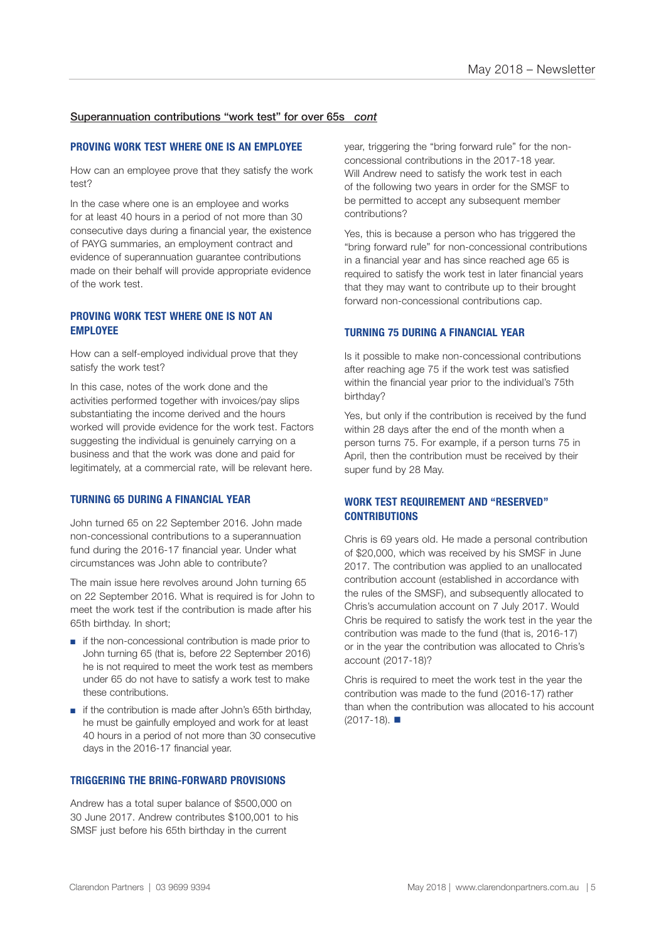#### Superannuation contributions "work test" for over 65s *cont*

#### **PROVING WORK TEST WHERE ONE IS AN EMPLOYEE**

How can an employee prove that they satisfy the work test?

In the case where one is an employee and works for at least 40 hours in a period of not more than 30 consecutive days during a financial year, the existence of PAYG summaries, an employment contract and evidence of superannuation guarantee contributions made on their behalf will provide appropriate evidence of the work test.

#### **PROVING WORK TEST WHERE ONE IS NOT AN EMPLOYEE**

How can a self-employed individual prove that they satisfy the work test?

In this case, notes of the work done and the activities performed together with invoices/pay slips substantiating the income derived and the hours worked will provide evidence for the work test. Factors suggesting the individual is genuinely carrying on a business and that the work was done and paid for legitimately, at a commercial rate, will be relevant here.

#### **TURNING 65 DURING A FINANCIAL YEAR**

John turned 65 on 22 September 2016. John made non-concessional contributions to a superannuation fund during the 2016-17 financial year. Under what circumstances was John able to contribute?

The main issue here revolves around John turning 65 on 22 September 2016. What is required is for John to meet the work test if the contribution is made after his 65th birthday. In short;

- if the non-concessional contribution is made prior to John turning 65 (that is, before 22 September 2016) he is not required to meet the work test as members under 65 do not have to satisfy a work test to make these contributions.
- if the contribution is made after John's 65th birthday. he must be gainfully employed and work for at least 40 hours in a period of not more than 30 consecutive days in the 2016-17 financial year.

#### **TRIGGERING THE BRING-FORWARD PROVISIONS**

Andrew has a total super balance of \$500,000 on 30 June 2017. Andrew contributes \$100,001 to his SMSF just before his 65th birthday in the current

year, triggering the "bring forward rule" for the nonconcessional contributions in the 2017-18 year. Will Andrew need to satisfy the work test in each of the following two years in order for the SMSF to be permitted to accept any subsequent member contributions?

Yes, this is because a person who has triggered the "bring forward rule" for non-concessional contributions in a financial year and has since reached age 65 is required to satisfy the work test in later financial years that they may want to contribute up to their brought forward non-concessional contributions cap.

#### **TURNING 75 DURING A FINANCIAL YEAR**

Is it possible to make non-concessional contributions after reaching age 75 if the work test was satisfied within the financial year prior to the individual's 75th birthday?

Yes, but only if the contribution is received by the fund within 28 days after the end of the month when a person turns 75. For example, if a person turns 75 in April, then the contribution must be received by their super fund by 28 May.

#### **WORK TEST REQUIREMENT AND "RESERVED" CONTRIBUTIONS**

Chris is 69 years old. He made a personal contribution of \$20,000, which was received by his SMSF in June 2017. The contribution was applied to an unallocated contribution account (established in accordance with the rules of the SMSF), and subsequently allocated to Chris's accumulation account on 7 July 2017. Would Chris be required to satisfy the work test in the year the contribution was made to the fund (that is, 2016-17) or in the year the contribution was allocated to Chris's account (2017-18)?

Chris is required to meet the work test in the year the contribution was made to the fund (2016-17) rather than when the contribution was allocated to his account  $(2017-18)$ .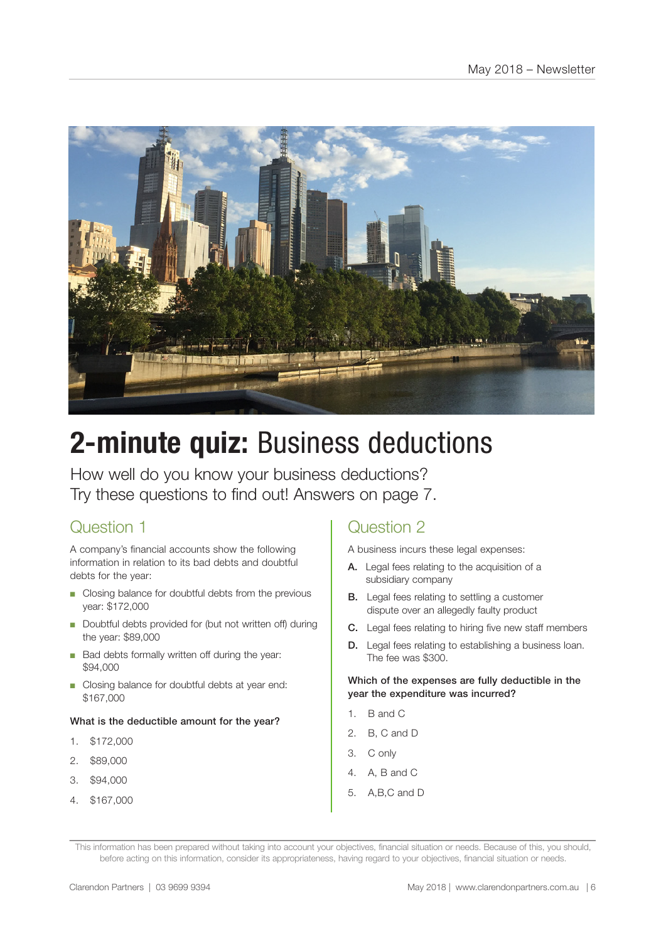

# **2-minute quiz:** Business deductions

How well do you know your business deductions? Try these questions to find out! Answers on page 7.

## Question 1

A company's financial accounts show the following information in relation to its bad debts and doubtful debts for the year:

- Closing balance for doubtful debts from the previous year: \$172,000
- Doubtful debts provided for (but not written off) during the year: \$89,000
- Bad debts formally written off during the year: \$94,000
- Closing balance for doubtful debts at year end: \$167,000

#### What is the deductible amount for the year?

- 1. \$172,000
- 2. \$89,000
- 3. \$94,000
- 4. \$167,000

### Question 2

A business incurs these legal expenses:

- A. Legal fees relating to the acquisition of a subsidiary company
- **B.** Legal fees relating to settling a customer dispute over an allegedly faulty product
- C. Legal fees relating to hiring five new staff members
- D. Legal fees relating to establishing a business loan. The fee was \$300.

#### Which of the expenses are fully deductible in the year the expenditure was incurred?

- 1. B and C
- 2. B, C and D
- 3. C only
- 4. A, B and C
- 5. A,B,C and D

This information has been prepared without taking into account your objectives, financial situation or needs. Because of this, you should, before acting on this information, consider its appropriateness, having regard to your objectives, financial situation or needs.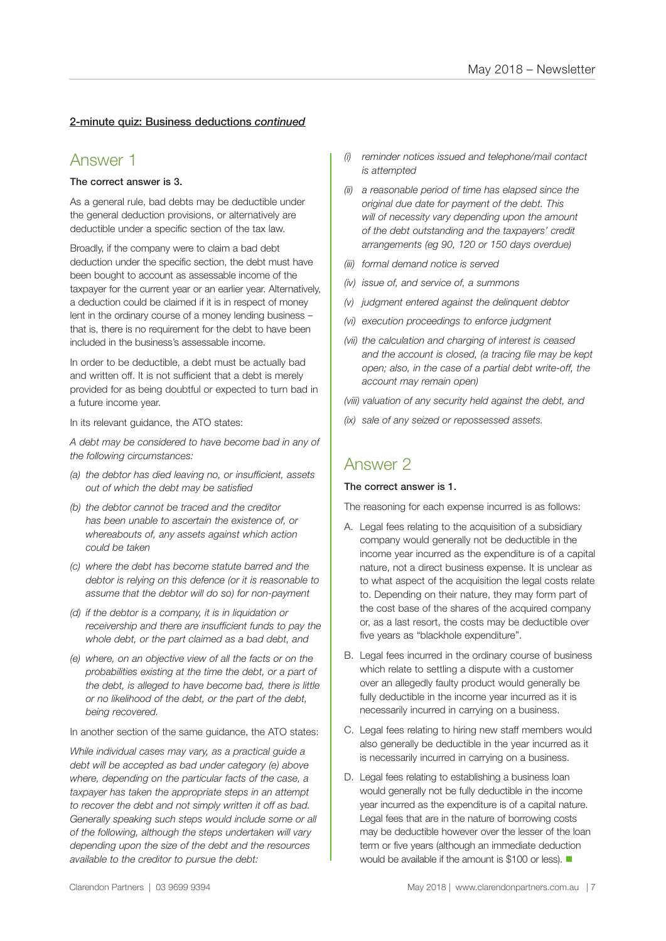#### 2-minute quiz: Business deductions *continued*

#### Answer 1

#### The correct answer is 3.

As a general rule, bad debts may be deductible under the general deduction provisions, or alternatively are deductible under a specific section of the tax law.

Broadly, if the company were to claim a bad debt deduction under the specific section, the debt must have been bought to account as assessable income of the taxpayer for the current year or an earlier year. Alternatively, a deduction could be claimed if it is in respect of money lent in the ordinary course of a money lending business – that is, there is no requirement for the debt to have been included in the business's assessable income.

In order to be deductible, a debt must be actually bad and written off. It is not sufficient that a debt is merely provided for as being doubtful or expected to turn bad in a future income year.

In its relevant guidance, the ATO states:

*A debt may be considered to have become bad in any of the following circumstances:*

- *(a) the debtor has died leaving no, or insufficient, assets out of which the debt may be satisfied*
- *(b) the debtor cannot be traced and the creditor has been unable to ascertain the existence of, or whereabouts of, any assets against which action could be taken*
- *(c) where the debt has become statute barred and the debtor is relying on this defence (or it is reasonable to assume that the debtor will do so) for non-payment*
- *(d) if the debtor is a company, it is in liquidation or receivership and there are insufficient funds to pay the whole debt, or the part claimed as a bad debt, and*
- *(e) where, on an objective view of all the facts or on the probabilities existing at the time the debt, or a part of the debt, is alleged to have become bad, there is little or no likelihood of the debt, or the part of the debt, being recovered.*

In another section of the same guidance, the ATO states:

*While individual cases may vary, as a practical guide a debt will be accepted as bad under category (e) above where, depending on the particular facts of the case, a taxpayer has taken the appropriate steps in an attempt to recover the debt and not simply written it off as bad. Generally speaking such steps would include some or all of the following, although the steps undertaken will vary depending upon the size of the debt and the resources available to the creditor to pursue the debt:*

- *(i) reminder notices issued and telephone/mail contact is attempted*
- *(ii) a reasonable period of time has elapsed since the original due date for payment of the debt. This will of necessity vary depending upon the amount of the debt outstanding and the taxpayers' credit arrangements (eg 90, 120 or 150 days overdue)*
- *(iii) formal demand notice is served*
- *(iv) issue of, and service of, a summons*
- *(v) judgment entered against the delinquent debtor*
- *(vi) execution proceedings to enforce judgment*
- *(vii) the calculation and charging of interest is ceased and the account is closed, (a tracing file may be kept open; also, in the case of a partial debt write-off, the account may remain open)*

*(viii) valuation of any security held against the debt, and*

*(ix) sale of any seized or repossessed assets.*

### Answer 2

#### The correct answer is 1.

The reasoning for each expense incurred is as follows:

- A. Legal fees relating to the acquisition of a subsidiary company would generally not be deductible in the income year incurred as the expenditure is of a capital nature, not a direct business expense. It is unclear as to what aspect of the acquisition the legal costs relate to. Depending on their nature, they may form part of the cost base of the shares of the acquired company or, as a last resort, the costs may be deductible over five years as "blackhole expenditure".
- B. Legal fees incurred in the ordinary course of business which relate to settling a dispute with a customer over an allegedly faulty product would generally be fully deductible in the income year incurred as it is necessarily incurred in carrying on a business.
- C. Legal fees relating to hiring new staff members would also generally be deductible in the year incurred as it is necessarily incurred in carrying on a business.
- D. Legal fees relating to establishing a business loan would generally not be fully deductible in the income year incurred as the expenditure is of a capital nature. Legal fees that are in the nature of borrowing costs may be deductible however over the lesser of the loan term or five years (although an immediate deduction would be available if the amount is \$100 or less).  $\blacksquare$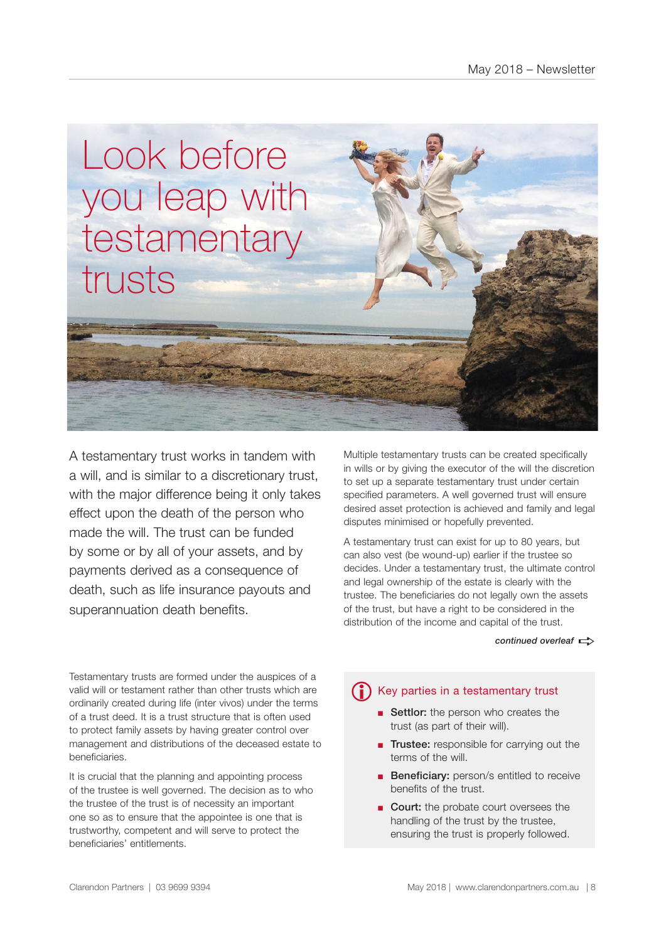

A testamentary trust works in tandem with a will, and is similar to a discretionary trust, with the major difference being it only takes effect upon the death of the person who made the will. The trust can be funded by some or by all of your assets, and by payments derived as a consequence of death, such as life insurance payouts and superannuation death benefits.

Multiple testamentary trusts can be created specifically in wills or by giving the executor of the will the discretion to set up a separate testamentary trust under certain specified parameters. A well governed trust will ensure desired asset protection is achieved and family and legal disputes minimised or hopefully prevented.

A testamentary trust can exist for up to 80 years, but can also vest (be wound-up) earlier if the trustee so decides. Under a testamentary trust, the ultimate control and legal ownership of the estate is clearly with the trustee. The beneficiaries do not legally own the assets of the trust, but have a right to be considered in the distribution of the income and capital of the trust.

#### *continued overleaf*  $\Rightarrow$

Testamentary trusts are formed under the auspices of a valid will or testament rather than other trusts which are ordinarily created during life (inter vivos) under the terms of a trust deed. It is a trust structure that is often used to protect family assets by having greater control over management and distributions of the deceased estate to beneficiaries.

It is crucial that the planning and appointing process of the trustee is well governed. The decision as to who the trustee of the trust is of necessity an important one so as to ensure that the appointee is one that is trustworthy, competent and will serve to protect the beneficiaries' entitlements.

# **i** Key parties in a testamentary trust

- Settlor: the person who creates the trust (as part of their will).
- Trustee: responsible for carrying out the terms of the will.
- Beneficiary: person/s entitled to receive benefits of the trust.
- Court: the probate court oversees the handling of the trust by the trustee, ensuring the trust is properly followed.